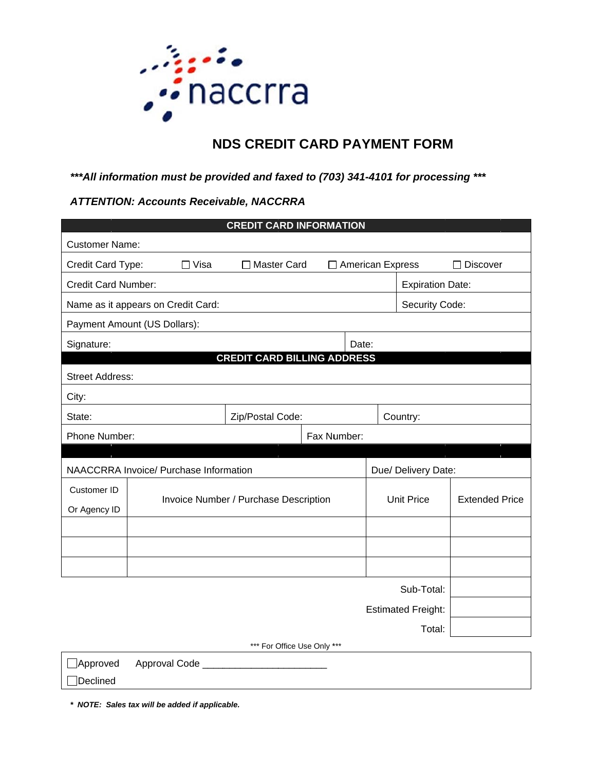

# **NDS CREDIT CARD PAYMENT FORM**

## \*\*\* All information must be provided and faxed to (703) 341-4101 for processing \*\*\*

## **ATTENTION: Accounts Receivable, NACCRRA**

| <b>CREDIT CARD INFORMATION</b>         |                                       |                  |                                     |                     |                         |                       |            |  |
|----------------------------------------|---------------------------------------|------------------|-------------------------------------|---------------------|-------------------------|-----------------------|------------|--|
| <b>Customer Name:</b>                  |                                       |                  |                                     |                     |                         |                       |            |  |
| Credit Card Type:                      | $\Box$ Visa                           |                  | □ Master Card<br>□ American Express |                     |                         |                       | □ Discover |  |
| <b>Credit Card Number:</b>             |                                       |                  |                                     |                     | <b>Expiration Date:</b> |                       |            |  |
| Name as it appears on Credit Card:     |                                       |                  |                                     |                     | Security Code:          |                       |            |  |
| Payment Amount (US Dollars):           |                                       |                  |                                     |                     |                         |                       |            |  |
| Signature:                             |                                       |                  |                                     | Date:               |                         |                       |            |  |
| <b>CREDIT CARD BILLING ADDRESS</b>     |                                       |                  |                                     |                     |                         |                       |            |  |
| <b>Street Address:</b>                 |                                       |                  |                                     |                     |                         |                       |            |  |
| City:                                  |                                       |                  |                                     |                     |                         |                       |            |  |
| State:                                 |                                       | Zip/Postal Code: |                                     |                     |                         | Country:              |            |  |
| Phone Number:                          | Fax Number:                           |                  |                                     |                     |                         |                       |            |  |
|                                        |                                       |                  |                                     |                     |                         |                       |            |  |
| NAACCRRA Invoice/ Purchase Information |                                       |                  |                                     | Due/ Delivery Date: |                         |                       |            |  |
| Customer ID                            |                                       |                  |                                     |                     |                         |                       |            |  |
| Or Agency ID                           | Invoice Number / Purchase Description |                  |                                     |                     | <b>Unit Price</b>       | <b>Extended Price</b> |            |  |
|                                        |                                       |                  |                                     |                     |                         |                       |            |  |
|                                        |                                       |                  |                                     |                     |                         |                       |            |  |
|                                        |                                       |                  |                                     |                     |                         |                       |            |  |
| Sub-Total:                             |                                       |                  |                                     |                     |                         |                       |            |  |
| <b>Estimated Freight:</b>              |                                       |                  |                                     |                     |                         |                       |            |  |
| Total:                                 |                                       |                  |                                     |                     |                         |                       |            |  |
| *** For Office Use Only ***            |                                       |                  |                                     |                     |                         |                       |            |  |
| ]Approved<br>Approval Code             |                                       |                  |                                     |                     |                         |                       |            |  |

**Declined** 

\* NOTE: Sales tax will be added if applicable.